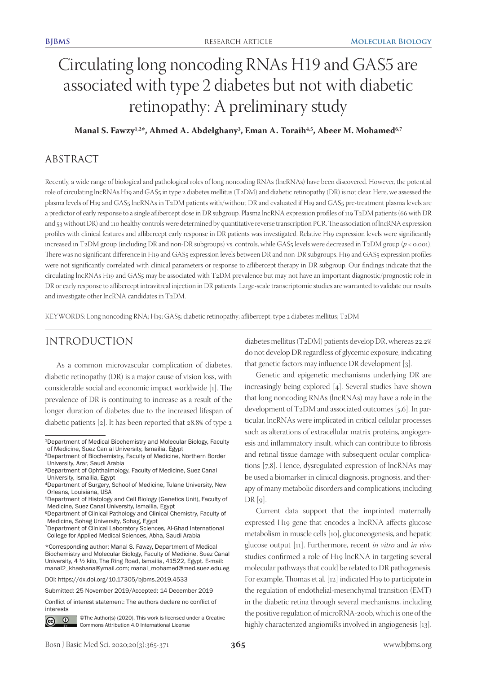# Circulating long noncoding RNAs H19 and GAS5 are associated with type 2 diabetes but not with diabetic retinopathy: A preliminary study

# **Manal S. Fawzy1,2\*, Ahmed A. Abdelghany3 , Eman A. Toraih4,5, Abeer M. Mohamed6,7**

# ABSTRACT

Recently, a wide range of biological and pathological roles of long noncoding RNAs (lncRNAs) have been discovered. However, the potential role of circulating lncRNAs H19 and GAS5 in type 2 diabetes mellitus (T2DM) and diabetic retinopathy (DR) is not clear. Here, we assessed the plasma levels of H19 and GAS5 lncRNAs in T2DM patients with/without DR and evaluated if H19 and GAS5 pre-treatment plasma levels are a predictor of early response to a single aflibercept dose in DR subgroup. Plasma lncRNA expression profiles of 119 T2DM patients (66 with DR and 53 without DR) and 110 healthy controls were determined by quantitative reverse transcription PCR. The association of lncRNA expression profiles with clinical features and aflibercept early response in DR patients was investigated. Relative H19 expression levels were significantly increased in T2DM group (including DR and non-DR subgroups) vs. controls, while GAS<sub>5</sub> levels were decreased in T2DM group (*p* < 0.001). There was no significant difference in H19 and GAS5 expression levels between DR and non-DR subgroups. H19 and GAS5 expression profiles were not significantly correlated with clinical parameters or response to aflibercept therapy in DR subgroup. Our findings indicate that the circulating lncRNAs H19 and GAS5 may be associated with T2DM prevalence but may not have an important diagnostic/prognostic role in DR or early response to aflibercept intravitreal injection in DR patients. Large-scale transcriptomic studies are warranted to validate our results and investigate other lncRNA candidates in T2DM.

KEYWORDS: Long noncoding RNA; H19; GAS5; diabetic retinopathy; aflibercept; type 2 diabetes mellitus; T2DM

# INTRODUCTION

As a common microvascular complication of diabetes, diabetic retinopathy (DR) is a major cause of vision loss, with considerable social and economic impact worldwide [1]. The prevalence of DR is continuing to increase as a result of the longer duration of diabetes due to the increased lifespan of diabetic patients [2]. It has been reported that 28.8% of type 2

DOI: <https://dx.doi.org/10.17305/bjbms.2019.4533>

Submitted: 25 November 2019/Accepted: 14 December 2019

Conflict of interest statement: The authors declare no conflict of interests



©The Author(s) (2020). This work is licensed under a Creative Commons Attribution 4.0 International License

diabetes mellitus (T2DM) patients develop DR, whereas 22.2% do not develop DR regardless of glycemic exposure, indicating that genetic factors may influence DR development [3].

Genetic and epigenetic mechanisms underlying DR are increasingly being explored [4]. Several studies have shown that long noncoding RNAs (lncRNAs) may have a role in the development of T2DM and associated outcomes [5,6]. In particular, lncRNAs were implicated in critical cellular processes such as alterations of extracellular matrix proteins, angiogenesis and inflammatory insult, which can contribute to fibrosis and retinal tissue damage with subsequent ocular complications [7,8]. Hence, dysregulated expression of lncRNAs may be used a biomarker in clinical diagnosis, prognosis, and therapy of many metabolic disorders and complications, including  $DR[g]$ .

Current data support that the imprinted maternally expressed H19 gene that encodes a lncRNA affects glucose metabolism in muscle cells [10], gluconeogenesis, and hepatic glucose output [11]. Furthermore, recent *in vitro* and *in vivo*  studies confirmed a role of H19 lncRNA in targeting several molecular pathways that could be related to DR pathogenesis. For example, Thomas et al. [12] indicated H19 to participate in the regulation of endothelial-mesenchymal transition (EMT) in the diabetic retina through several mechanisms, including the positive regulation of microRNA-200b, which is one of the highly characterized angiomiRs involved in angiogenesis [13].

<sup>1</sup>Department of Medical Biochemistry and Molecular Biology, Faculty of Medicine, Suez Can al University, Ismailia, Egypt

<sup>2</sup>Department of Biochemistry, Faculty of Medicine, Northern Border University, Arar, Saudi Arabia

<sup>&</sup>lt;sup>3</sup>Department of Ophthalmology, Faculty of Medicine, Suez Canal University, Ismailia, Egypt

<sup>4</sup>Department of Surgery, School of Medicine, Tulane University, New Orleans, Louisiana, USA

<sup>5</sup>Department of Histology and Cell Biology (Genetics Unit), Faculty of Medicine, Suez Canal University, Ismailia, Egypt

<sup>6</sup>Department of Clinical Pathology and Clinical Chemistry, Faculty of Medicine, Sohag University, Sohag, Egypt

<sup>7</sup>Department of Clinical Laboratory Sciences, Al-Ghad International College for Applied Medical Sciences, Abha, Saudi Arabia

<sup>\*</sup>Corresponding author: Manal S. Fawzy, Department of Medical Biochemistry and Molecular Biology, Faculty of Medicine, Suez Canal University, 4 ½ kilo, The Ring Road, Ismailia, 41522, Egypt. E-mail: manal2\_khashana@ymail.com; manal\_mohamed@med.suez.edu.eg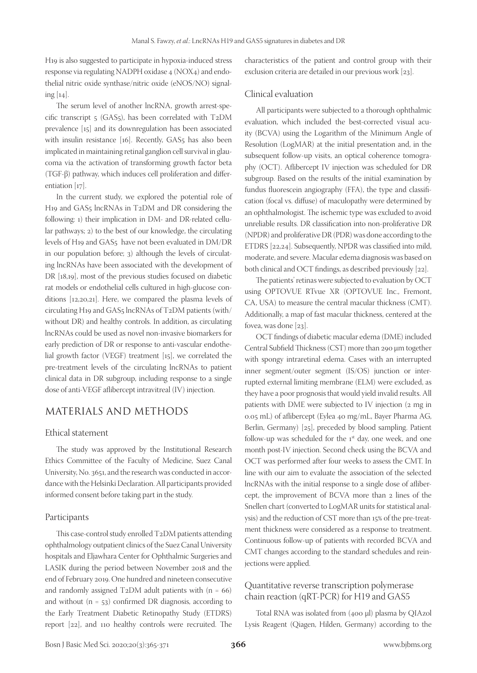H19 is also suggested to participate in hypoxia-induced stress response via regulating NADPH oxidase 4 (NOX4) and endothelial nitric oxide synthase/nitric oxide (eNOS/NO) signaling [14].

The serum level of another lncRNA, growth arrest-specific transcript 5 (GAS5), has been correlated with T2DM prevalence [15] and its downregulation has been associated with insulin resistance [16]. Recently, GAS<sub>5</sub> has also been implicated in maintaining retinal ganglion cell survival in glaucoma via the activation of transforming growth factor beta (TGF-β) pathway, which induces cell proliferation and differentiation [17].

In the current study, we explored the potential role of H19 and GAS5 lncRNAs in T2DM and DR considering the following: 1) their implication in DM- and DR-related cellular pathways; 2) to the best of our knowledge, the circulating levels of H19 and GAS5 have not been evaluated in DM/DR in our population before; 3) although the levels of circulating lncRNAs have been associated with the development of DR [18,19], most of the previous studies focused on diabetic rat models or endothelial cells cultured in high-glucose conditions [12,20,21]. Here, we compared the plasma levels of circulating H19 and GAS5 lncRNAs of T2DM patients (with/ without DR) and healthy controls. In addition, as circulating lncRNAs could be used as novel non-invasive biomarkers for early prediction of DR or response to anti-vascular endothelial growth factor (VEGF) treatment [15], we correlated the pre-treatment levels of the circulating lncRNAs to patient clinical data in DR subgroup, including response to a single dose of anti-VEGF aflibercept intravitreal (IV) injection.

## MATERIALS AND METHODS

#### Ethical statement

The study was approved by the Institutional Research Ethics Committee of the Faculty of Medicine, Suez Canal University, No. 3651, and the research was conducted in accordance with the Helsinki Declaration. All participants provided informed consent before taking part in the study.

#### Participants

This case-control study enrolled T2DM patients attending ophthalmology outpatient clinics of the Suez Canal University hospitals and Eljawhara Center for Ophthalmic Surgeries and LASIK during the period between November 2018 and the end of February 2019. One hundred and nineteen consecutive and randomly assigned  $T_2DM$  adult patients with  $(n = 66)$ and without  $(n = 53)$  confirmed DR diagnosis, according to the Early Treatment Diabetic Retinopathy Study (ETDRS) report [22], and 110 healthy controls were recruited. The characteristics of the patient and control group with their exclusion criteria are detailed in our previous work [23].

#### Clinical evaluation

All participants were subjected to a thorough ophthalmic evaluation, which included the best-corrected visual acuity (BCVA) using the Logarithm of the Minimum Angle of Resolution (LogMAR) at the initial presentation and, in the subsequent follow-up visits, an optical coherence tomography (OCT). Aflibercept IV injection was scheduled for DR subgroup. Based on the results of the initial examination by fundus fluorescein angiography (FFA), the type and classification (focal vs. diffuse) of maculopathy were determined by an ophthalmologist. The ischemic type was excluded to avoid unreliable results. DR classification into non-proliferative DR (NPDR) and proliferative DR (PDR) was done according to the ETDRS [22,24]. Subsequently, NPDR was classified into mild, moderate, and severe. Macular edema diagnosis was based on both clinical and OCT findings, as described previously [22].

The patients' retinas were subjected to evaluation by OCT using OPTOVUE RTvue XR (OPTOVUE Inc., Fremont, CA, USA) to measure the central macular thickness (CMT). Additionally, a map of fast macular thickness, centered at the fovea, was done [23].

OCT findings of diabetic macular edema (DME) included Central Subfield Thickness (CST) more than 290 µm together with spongy intraretinal edema. Cases with an interrupted inner segment/outer segment (IS/OS) junction or interrupted external limiting membrane (ELM) were excluded, as they have a poor prognosis that would yield invalid results. All patients with DME were subjected to IV injection (2 mg in 0.05 mL) of aflibercept (Eylea 40 mg/mL, Bayer Pharma AG, Berlin, Germany) [25], preceded by blood sampling. Patient follow-up was scheduled for the  $1<sup>st</sup>$  day, one week, and one month post-IV injection. Second check using the BCVA and OCT was performed after four weeks to assess the CMT. In line with our aim to evaluate the association of the selected lncRNAs with the initial response to a single dose of aflibercept, the improvement of BCVA more than 2 lines of the Snellen chart (converted to LogMAR units for statistical analysis) and the reduction of CST more than 15% of the pre-treatment thickness were considered as a response to treatment. Continuous follow-up of patients with recorded BCVA and CMT changes according to the standard schedules and reinjections were applied.

## Quantitative reverse transcription polymerase chain reaction (qRT-PCR) for H19 and GAS5

Total RNA was isolated from (400 µl) plasma by QIAzol Lysis Reagent (Qiagen, Hilden, Germany) according to the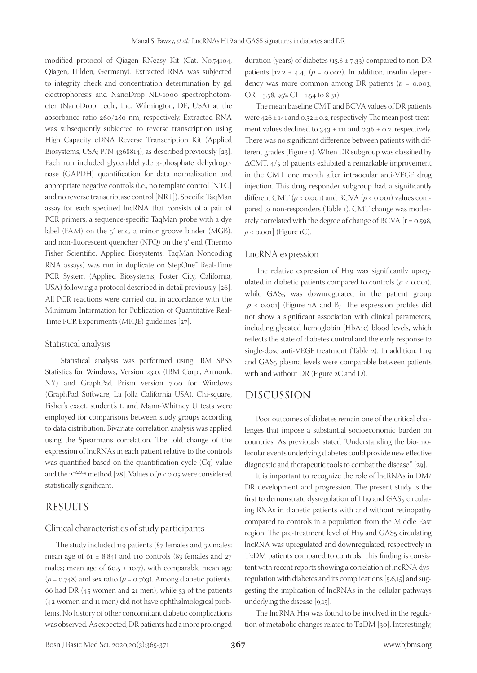modified protocol of Qiagen RNeasy Kit (Cat. No.74104, Qiagen, Hilden, Germany). Extracted RNA was subjected to integrity check and concentration determination by gel electrophoresis and NanoDrop ND-1000 spectrophotometer (NanoDrop Tech., Inc. Wilmington, DE, USA) at the absorbance ratio 260/280 nm, respectively. Extracted RNA was subsequently subjected to reverse transcription using High Capacity cDNA Reverse Transcription Kit (Applied Biosystems, USA; P/N 4368814), as described previously [23]. Each run included glyceraldehyde 3-phosphate dehydrogenase (GAPDH) quantification for data normalization and appropriate negative controls (i.e., no template control [NTC] and no reverse transcriptase control [NRT]). Specific TaqMan assay for each specified lncRNA that consists of a pair of PCR primers, a sequence-specific TaqMan probe with a dye label (FAM) on the 5′ end, a minor groove binder (MGB), and non-fluorescent quencher (NFQ) on the 3′ end (Thermo Fisher Scientific, Applied Biosystems, TaqMan Noncoding RNA assays) was run in duplicate on StepOne™ Real-Time PCR System (Applied Biosystems, Foster City, California, USA) following a protocol described in detail previously [26]. All PCR reactions were carried out in accordance with the Minimum Information for Publication of Quantitative Real-Time PCR Experiments (MIQE) guidelines [27].

#### Statistical analysis

 Statistical analysis was performed using IBM SPSS Statistics for Windows, Version 23.0. (IBM Corp., Armonk, NY) and GraphPad Prism version 7.00 for Windows (GraphPad Software, La Jolla California USA). Chi-square, Fisher's exact, student's t, and Mann-Whitney U tests were employed for comparisons between study groups according to data distribution. Bivariate correlation analysis was applied using the Spearman's correlation. The fold change of the expression of lncRNAs in each patient relative to the controls was quantified based on the quantification cycle (Cq) value and the 2<sup>−∆∆Cq</sup> method [28]. Values of *p* < 0.05 were considered statistically significant.

## RESULTS

#### Clinical characteristics of study participants

The study included 119 patients (87 females and 32 males; mean age of  $61 \pm 8.84$ ) and 110 controls (83 females and 27 males; mean age of 60.5  $\pm$  10.7), with comparable mean age  $(p = 0.748)$  and sex ratio  $(p = 0.763)$ . Among diabetic patients, 66 had DR (45 women and 21 men), while 53 of the patients (42 women and 11 men) did not have ophthalmological problems. No history of other concomitant diabetic complications was observed. As expected, DR patients had a more prolonged

duration (years) of diabetes ( $15.8 \pm 7.33$ ) compared to non-DR patients  $[12.2 \pm 4.4]$  ( $p = 0.002$ ). In addition, insulin dependency was more common among DR patients ( $p = 0.003$ )  $OR = 3.58$ , 95%  $CI = 1.54$  to 8.31).

The mean baseline CMT and BCVA values of DR patients were 426 ± 141 and 0.52 ± 0.2, respectively. The mean post-treatment values declined to  $343 \pm 111$  and  $0.36 \pm 0.2$ , respectively. There was no significant difference between patients with different grades (Figure 1). When DR subgroup was classified by ∆CMT, 4/5 of patients exhibited a remarkable improvement in the CMT one month after intraocular anti-VEGF drug injection. This drug responder subgroup had a significantly different CMT  $(p < 0.001)$  and BCVA  $(p < 0.001)$  values compared to non-responders (Table 1). CMT change was moderately correlated with the degree of change of BCVA [r = 0.598,  $p <$  0.001] (Figure 1C).

#### LncRNA expression

The relative expression of H19 was significantly upregulated in diabetic patients compared to controls  $(p < 0.001)$ , while GAS5 was downregulated in the patient group  $[p \lt 0.001]$  (Figure 2A and B). The expression profiles did not show a significant association with clinical parameters, including glycated hemoglobin (HbA1c) blood levels, which reflects the state of diabetes control and the early response to single-dose anti-VEGF treatment (Table 2). In addition, H19 and GAS5 plasma levels were comparable between patients with and without DR (Figure 2C and D).

## DISCUSSION

Poor outcomes of diabetes remain one of the critical challenges that impose a substantial socioeconomic burden on countries. As previously stated "Understanding the bio-molecular events underlying diabetes could provide new effective diagnostic and therapeutic tools to combat the disease." [29].

It is important to recognize the role of lncRNAs in DM/ DR development and progression. The present study is the first to demonstrate dysregulation of H19 and GAS5 circulating RNAs in diabetic patients with and without retinopathy compared to controls in a population from the Middle East region. The pre-treatment level of H19 and GAS5 circulating lncRNA was upregulated and downregulated, respectively in T2DM patients compared to controls. This finding is consistent with recent reports showing a correlation of lncRNA dysregulation with diabetes and its complications [5,6,15] and suggesting the implication of lncRNAs in the cellular pathways underlying the disease [9,15].

The lncRNA H19 was found to be involved in the regulation of metabolic changes related to T2DM [30]. Interestingly,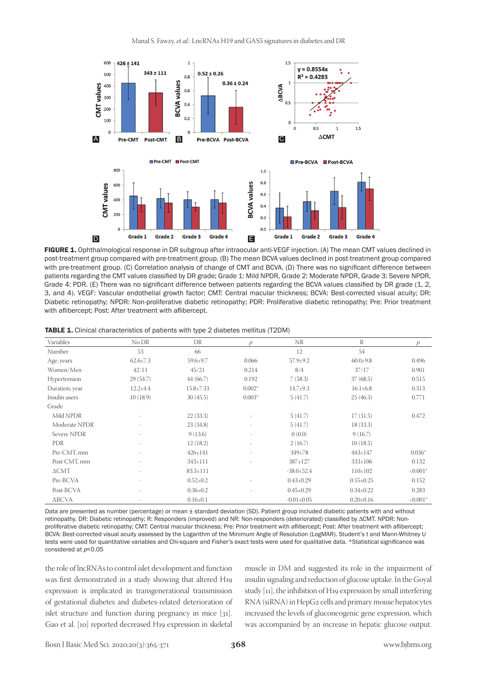

FIGURE 1. Ophthalmological response in DR subgroup after intraocular anti-VEGF injection. (A) The mean CMT values declined in post-treatment group compared with pre-treatment group. (B) The mean BCVA values declined in post-treatment group compared with pre-treatment group. (C) Correlation analysis of change of CMT and BCVA. (D) There was no significant difference between patients regarding the CMT values classified by DR grade; Grade 1: Mild NPDR, Grade 2: Moderate NPDR, Grade 3: Severe NPDR, Grade 4: PDR. (E) There was no significant difference between patients regarding the BCVA values classified by DR grade (1, 2, 3, and 4). VEGF: Vascular endothelial growth factor; CMT: Central macular thickness; BCVA: Best-corrected visual acuity; DR: Diabetic retinopathy; NPDR: Non-proliferative diabetic retinopathy; PDR: Proliferative diabetic retinopathy; Pre: Prior treatment with aflibercept; Post: After treatment with aflibercept.

| Variables       | No DR          | DR              | p        | <b>NR</b>        | R               | p          |
|-----------------|----------------|-----------------|----------|------------------|-----------------|------------|
| Number          | 53             | 66              |          | 12               | 54              |            |
| Age, years      | $62.6 \pm 7.3$ | 59.6±9.7        | 0.066    | $57.9 \pm 9.2$   | $60.0 \pm 9.8$  | 0.496      |
| Women/Men       | 42/11          | 45/21           | 0.214    | 8/4              | 37/17           | 0.901      |
| Hypertension    | 29 (54.7)      | 44(66.7)        | 0.192    | 7(58.3)          | 37(68.5)        | 0.515      |
| Duration, year  | $12.2 \pm 4.4$ | $15.8 \pm 7.33$ | $0.002*$ | $14.7 \pm 9.3$   | $16.1 \pm 6.8$  | 0.313      |
| Insulin users   | 10(18.9)       | 30(45.5)        | $0.003*$ | 5(41.7)          | 25(46.3)        | 0.771      |
| Grade           |                |                 |          |                  |                 |            |
| Mild NPDR       |                | 22(33.3)        |          | 5(41.7)          | 17(31.5)        | 0.472      |
| Moderate NPDR   | ٠              | 23(34.8)        | ٠        | 5(41.7)          | 18(33.3)        |            |
| Severe NPDR     |                | 9(13.6)         |          | 0(0.0)           | 9(16.7)         |            |
| <b>PDR</b>      |                | 12(18.2)        |          | 2(16.7)          | 10(18.5)        |            |
| Pre-CMT, mm     | ٠              | $426 \pm 141$   | ٠        | $349 \pm 78$     | $443 \pm 147$   | $0.036*$   |
| Post-CMT, mm    | ٠              | $343 \pm 111$   | ٠        | 387±127          | $333 \pm 106$   | 0.132      |
| $\triangle CMT$ | ٠              | $83.3 \pm 111$  |          | $-38.0 \pm 52.4$ | $110\pm 102$    | $< 0.001*$ |
| Pre-BCVA        |                | $0.52 \pm 0.2$  |          | $0.43 \pm 0.29$  | $0.55 \pm 0.25$ | 0.152      |
| Post-BCVA       | ٠              | $0.36 \pm 0.2$  |          | $0.45 \pm 0.29$  | $0.34 \pm 0.22$ | 0.283      |
| ∆BCVA           |                | $0.16 \pm 0.1$  |          | $-0.01 \pm 0.05$ | $0.20 \pm 0.16$ | $< 0.001*$ |

TABLE 1. Clinical characteristics of patients with type 2 diabetes mellitus (T2DM)

Data are presented as number (percentage) or mean ± standard deviation (SD). Patient group included diabetic patients with and without retinopathy. DR: Diabetic retinopathy; R: Responders (improved) and NR: Non-responders (deteriorated) classified by ∆CMT. NPDR: Nonproliferative diabetic retinopathy; CMT: Central macular thickness; Pre: Prior treatment with aflibercept; Post: After treatment with aflibercept; BCVA: Best-corrected visual acuity assessed by the Logarithm of the Minimum Angle of Resolution (LogMAR). Student's t and Mann-Whitney U tests were used for quantitative variables and Chi-square and Fisher's exact tests were used for qualitative data. \*Statistical significance was considered at  $p<$  0.05

the role of lncRNAs to control islet development and function was first demonstrated in a study showing that altered H19 expression is implicated in transgenerational transmission of gestational diabetes and diabetes-related deterioration of islet structure and function during pregnancy in mice [31]. Gao et al. [10] reported decreased H19 expression in skeletal

muscle in DM and suggested its role in the impairment of insulin signaling and reduction of glucose uptake. In the Goyal study [11], the inhibition of H19 expression by small interfering RNA (siRNA) in HepG2 cells and primary mouse hepatocytes increased the levels of gluconeogenic gene expression, which was accompanied by an increase in hepatic glucose output.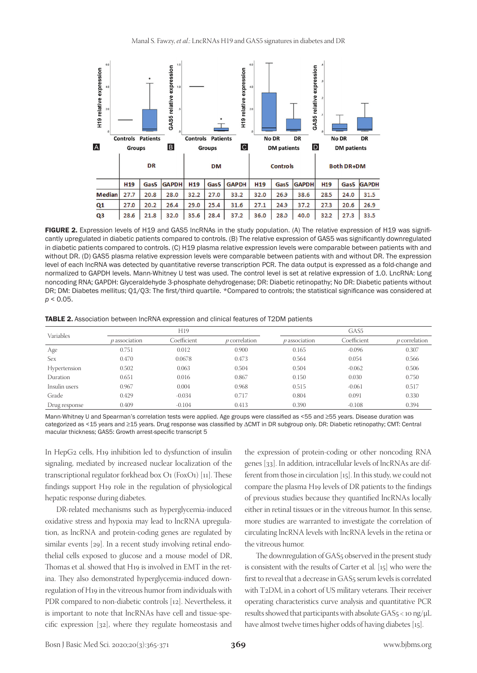

FIGURE 2. Expression levels of H19 and GAS5 IncRNAs in the study population. (A) The relative expression of H19 was significantly upregulated in diabetic patients compared to controls. (B) The relative expression of GAS5 was significantly downregulated in diabetic patients compared to controls. (C) H19 plasma relative expression levels were comparable between patients with and without DR. (D) GAS5 plasma relative expression levels were comparable between patients with and without DR. The expression level of each lncRNA was detected by quantitative reverse transcription PCR. The data output is expressed as a fold-change and normalized to GAPDH levels. Mann-Whitney U test was used. The control level is set at relative expression of 1.0. LncRNA: Long noncoding RNA; GAPDH: Glyceraldehyde 3-phosphate dehydrogenase; DR: Diabetic retinopathy; No DR: Diabetic patients without DR; DM: Diabetes mellitus; Q1/Q3: The first/third quartile. \*Compared to controls; the statistical significance was considered at *p* < 0.05.

TABLE 2. Association between lncRNA expression and clinical features of T2DM patients

| Variables     | H19             |             |                      | GAS <sub>5</sub> |             |                 |
|---------------|-----------------|-------------|----------------------|------------------|-------------|-----------------|
|               | $p$ association | Coefficient | <i>p</i> correlation | $p$ association  | Coefficient | $p$ correlation |
| Age           | 0.751           | 0.012       | 0.900                | 0.165            | $-0.096$    | 0.307           |
| Sex           | 0.470           | 0.0678      | 0.473                | 0.564            | 0.054       | 0.566           |
| Hypertension  | 0.502           | 0.063       | 0.504                | 0.504            | $-0.062$    | 0.506           |
| Duration      | 0.651           | 0.016       | 0.867                | 0.150            | 0.030       | 0.750           |
| Insulin users | 0.967           | 0.004       | 0.968                | 0.515            | $-0.061$    | 0.517           |
| Grade         | 0.429           | $-0.034$    | 0.717                | 0.804            | 0.091       | 0.330           |
| Drug response | 0.409           | $-0.104$    | 0.413                | 0.390            | $-0.108$    | 0.394           |

Mann-Whitney U and Spearman's correlation tests were applied. Age groups were classified as <55 and ≥55 years. Disease duration was categorized as <15 years and ≥15 years. Drug response was classified by ∆CMT in DR subgroup only. DR: Diabetic retinopathy; CMT: Central macular thickness; GAS5: Growth arrest-specific transcript 5

In HepG2 cells, H19 inhibition led to dysfunction of insulin signaling, mediated by increased nuclear localization of the transcriptional regulator forkhead box O1 (FoxO1) [11]. These findings support H19 role in the regulation of physiological hepatic response during diabetes.

DR-related mechanisms such as hyperglycemia-induced oxidative stress and hypoxia may lead to lncRNA upregulation, as lncRNA and protein-coding genes are regulated by similar events [29]. In a recent study involving retinal endothelial cells exposed to glucose and a mouse model of DR, Thomas et al. showed that H19 is involved in EMT in the retina. They also demonstrated hyperglycemia-induced downregulation of H19 in the vitreous humor from individuals with PDR compared to non-diabetic controls [12]. Nevertheless, it is important to note that lncRNAs have cell and tissue-specific expression [32], where they regulate homeostasis and

the expression of protein-coding or other noncoding RNA genes [33]. In addition, intracellular levels of lncRNAs are different from those in circulation [15]. In this study, we could not compare the plasma H19 levels of DR patients to the findings of previous studies because they quantified lncRNAs locally either in retinal tissues or in the vitreous humor. In this sense, more studies are warranted to investigate the correlation of circulating lncRNA levels with lncRNA levels in the retina or the vitreous humor.

The downregulation of GAS<sub>5</sub> observed in the present study is consistent with the results of Carter et al. [15] who were the first to reveal that a decrease in GAS<sub>5</sub> serum levels is correlated with T2DM, in a cohort of US military veterans. Their receiver operating characteristics curve analysis and quantitative PCR results showed that participants with absolute GAS5 < 10 ng/μL have almost twelve times higher odds of having diabetes [15].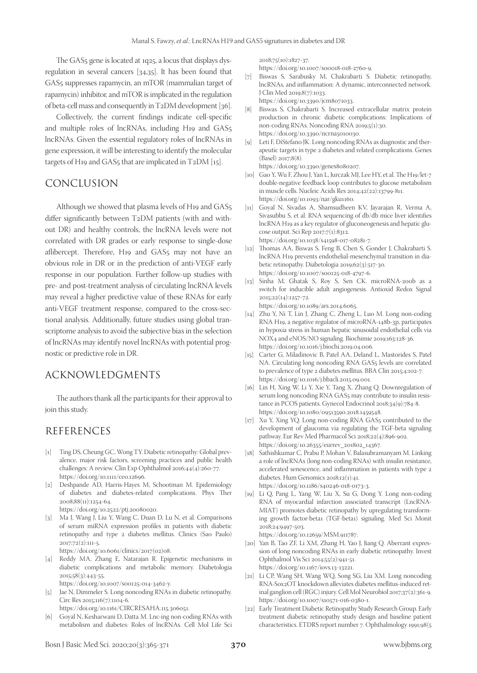The GAS5 gene is located at 1q25, a locus that displays dysregulation in several cancers [34,35]. It has been found that GAS5 suppresses rapamycin, an mTOR (mammalian target of rapamycin) inhibitor, and mTOR is implicated in the regulation of beta-cell mass and consequently in T2DM development [36].

Collectively, the current findings indicate cell-specific and multiple roles of lncRNAs, including H19 and GAS5 lncRNAs. Given the essential regulatory roles of lncRNAs in gene expression, it will be interesting to identify the molecular targets of H19 and GAS5 that are implicated in T2DM [15].

## CONCLUSION

Although we showed that plasma levels of H19 and GAS5 differ significantly between T2DM patients (with and without DR) and healthy controls, the lncRNA levels were not correlated with DR grades or early response to single-dose aflibercept. Therefore, H19 and GAS5 may not have an obvious role in DR or in the prediction of anti-VEGF early response in our population. Further follow-up studies with pre- and post-treatment analysis of circulating lncRNA levels may reveal a higher predictive value of these RNAs for early anti-VEGF treatment response, compared to the cross-sectional analysis. Additionally, future studies using global transcriptome analysis to avoid the subjective bias in the selection of lncRNAs may identify novel lncRNAs with potential prognostic or predictive role in DR.

# ACKNOWLEDGMENTS

The authors thank all the participants for their approval to join this study.

# REFERENCES

- [1] Ting DS, Cheung GC, Wong TY. Diabetic retinopathy: Global prevalence, major risk factors, screening practices and public health challenges: A review. Clin Exp Ophthalmol 2016;44(4):260-77. https://doi.org/10.1111/ceo.12696.
- [2] Deshpande AD, Harris-Hayes M, Schootman M. Epidemiology of diabetes and diabetes-related complications. Phys Ther 2008;88(11):1254-64. https://doi.org/10.2522/ptj.20080020.
- [3] Ma J, Wang J, Liu Y, Wang C, Duan D, Lu N, et al. Comparisons of serum miRNA expression profiles in patients with diabetic retinopathy and type 2 diabetes mellitus. Clinics (Sao Paulo) 2017;72(2):111-5.

https://doi.org/10.6061/clinics/2017(02)08.

[4] Reddy MA, Zhang E, Natarajan R. Epigenetic mechanisms in diabetic complications and metabolic memory. Diabetologia 2015;58(3):443-55.

https://doi.org/10.1007/s00125-014-3462-y.

[5] Jae N, Dimmeler S. Long noncoding RNAs in diabetic retinopathy. Circ Res 2015;116(7):1104-6.

https://doi.org/10.1161/CIRCRESAHA.115.306051.

[6] Goyal N, Kesharwani D, Datta M. Lnc-ing non-coding RNAs with metabolism and diabetes: Roles of lncRNAs. Cell Mol Life Sci 2018;75(10):1827-37.

- https://doi.org/10.1007/s00018-018-2760-9.
- [7] Biswas S, Sarabusky M, Chakrabarti S. Diabetic retinopathy, lncRNAs, and inflammation: A dynamic, interconnected network. J Clin Med 2019;8(7):1033. https://doi.org/10.3390/jcm8071033.
- [8] Biswas S, Chakrabarti S. Increased extracellular matrix protein production in chronic diabetic complications: Implications of non-coding RNAs. Noncoding RNA 2019;5(1):30. https://doi.org/10.3390/ncrna5010030.
- [9] Leti F, DiStefano JK. Long noncoding RNAs as diagnostic and therapeutic targets in type 2 diabetes and related complications. Genes (Basel) 2017;8(8). https://doi.org/10.3390/genes8080207.
- [10] Gao Y, Wu F, Zhou J, Yan L, Jurczak MJ, Lee HY, et al. The H19/let-7 double-negative feedback loop contributes to glucose metabolism in muscle cells. Nucleic Acids Res 2014;42(22):13799-811. https://doi.org/10.1093/nar/gku1160.
- [11] Goyal N, Sivadas A, Shamsudheen KV, Jayarajan R, Verma A, Sivasubbu S, et al. RNA sequencing of db/db mice liver identifies lncRNA H19 as a key regulator of gluconeogenesis and hepatic glucose output. Sci Rep 2017;7(1):8312. https://doi.org/10.1038/s41598-017-08281-7.
- [12] Thomas AA, Biswas S, Feng B, Chen S, Gonder J, Chakrabarti S. lncRNA H19 prevents endothelial-mesenchymal transition in diabetic retinopathy. Diabetologia 2019;62(3):517-30. https://doi.org/10.1007/s00125-018-4797-6.
- [13] Sinha M, Ghatak S, Roy S, Sen CK. microRNA-200b as a switch for inducible adult angiogenesis. Antioxid Redox Signal 2015;22(14):1257-72. https://doi.org/10.1089/ars.2014.6065.
- [14] Zhu Y, Ni T, Lin J, Zhang C, Zheng L, Luo M. Long non-coding RNA H19, a negative regulator of microRNA-148b-3p, participates in hypoxia stress in human hepatic sinusoidal endothelial cells via NOX4 and eNOS/NO signaling. Biochimie 2019;163:128-36. https://doi.org/10.1016/j.biochi.2019.04.006.
- [15] Carter G, Miladinovic B, Patel AA, Deland L, Mastorides S, Patel NA. Circulating long noncoding RNA GAS5 levels are correlated to prevalence of type 2 diabetes mellitus. BBA Clin 2015;4:102-7. https://doi.org/10.1016/j.bbacli.2015.09.001.
- [16] Lin H, Xing W, Li Y, Xie Y, Tang X, Zhang Q. Downregulation of serum long noncoding RNA GAS5 may contribute to insulin resistance in PCOS patients. Gynecol Endocrinol 2018;34(9):784-8. https://doi.org/10.1080/09513590.2018.1459548.
- [17] Xu Y, Xing YQ. Long non-coding RNA GAS5 contributed to the development of glaucoma via regulating the TGF-beta signaling pathway. Eur Rev Med Pharmacol Sci 2018;22(4):896-902. https://doi.org/10.26355/eurrev\_201802\_14367.
- [18] Sathishkumar C, Prabu P, Mohan V, Balasubramanyam M. Linking a role of lncRNAs (long non-coding RNAs) with insulin resistance, accelerated senescence, and inflammation in patients with type 2 diabetes. Hum Genomics 2018;12(1):41. https://doi.org/10.1186/s40246-018-0173-3.
- [19] Li Q, Pang L, Yang W, Liu X, Su G, Dong Y. Long non-coding RNA of myocardial infarction associated transcript (LncRNA-MIAT) promotes diabetic retinopathy by upregulating transforming growth factor-beta1 (TGF-beta1) signaling. Med Sci Monit 2018;24:9497-503.

https://doi.org/10.12659/MSM.911787.

- [20] Yan B, Tao ZF, Li XM, Zhang H, Yao J, Jiang Q. Aberrant expression of long noncoding RNAs in early diabetic retinopathy. Invest Ophthalmol Vis Sci 2014;55(2):941-51. https://doi.org/10.1167/iovs.13-13221.
- [21] Li CP, Wang SH, Wang WQ, Song SG, Liu XM. Long noncoding RNA-Sox2OT knockdown alleviates diabetes mellitus-induced retinal ganglion cell (RGC) injury. Cell Mol Neurobiol 2017;37(2):361-9. https://doi.org/10.1007/s10571-016-0380-1.
- [22] Early Treatment Diabetic Retinopathy Study Research Group. Early treatment diabetic retinopathy study design and baseline patient characteristics. ETDRS report number 7. Ophthalmology 1991;98(5